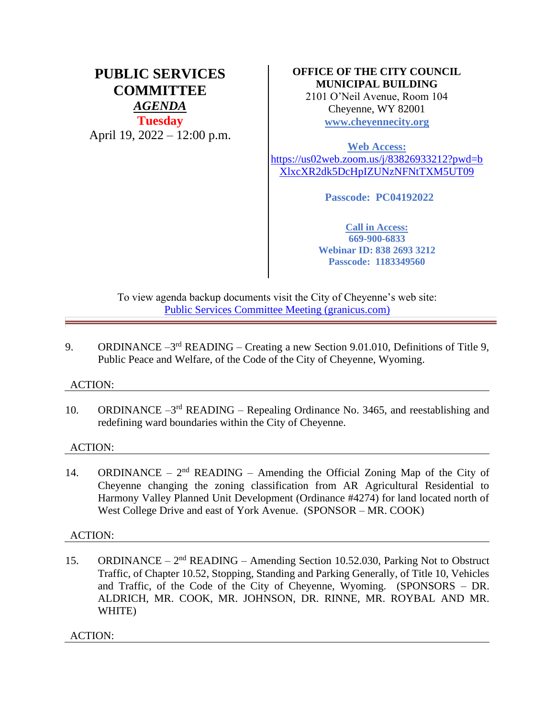# **PUBLIC SERVICES COMMITTEE** *AGENDA* **Tuesday** April 19, 2022 – 12:00 p.m.

## **OFFICE OF THE CITY COUNCIL MUNICIPAL BUILDING**

2101 O'Neil Avenue, Room 104 Cheyenne, WY 82001 **[www.cheyennecity.org](http://www.cheyennecity.org/)**

**Web Access:**  [https://us02web.zoom.us/j/83826933212?pwd=b](https://us02web.zoom.us/j/83826933212?pwd=bXlxcXR2dk5DcHpIZUNzNFNtTXM5UT09) [XlxcXR2dk5DcHpIZUNzNFNtTXM5UT09](https://us02web.zoom.us/j/83826933212?pwd=bXlxcXR2dk5DcHpIZUNzNFNtTXM5UT09)

**Passcode: PC04192022**

**Call in Access: 669-900-6833 Webinar ID: 838 2693 3212 Passcode: 1183349560**

To view agenda backup documents visit the City of Cheyenne's web site: [Public Services Committee Meeting \(granicus.com\)](https://cheyenne.granicus.com/GeneratedAgendaViewer.php?event_id=1065)

9. ORDINANCE  $-3^{rd}$  READING – Creating a new Section 9.01.010, Definitions of Title 9, Public Peace and Welfare, of the Code of the City of Cheyenne, Wyoming.

### ACTION:

10. ORDINANCE -3<sup>rd</sup> READING - Repealing Ordinance No. 3465, and reestablishing and redefining ward boundaries within the City of Cheyenne.

### ACTION:

14. ORDINANCE –  $2<sup>nd</sup>$  READING – Amending the Official Zoning Map of the City of Cheyenne changing the zoning classification from AR Agricultural Residential to Harmony Valley Planned Unit Development (Ordinance #4274) for land located north of West College Drive and east of York Avenue. (SPONSOR – MR. COOK)

### ACTION:

15. ORDINANCE – 2<sup>nd</sup> READING – Amending Section 10.52.030, Parking Not to Obstruct Traffic, of Chapter 10.52, Stopping, Standing and Parking Generally, of Title 10, Vehicles and Traffic, of the Code of the City of Cheyenne, Wyoming. (SPONSORS – DR. ALDRICH, MR. COOK, MR. JOHNSON, DR. RINNE, MR. ROYBAL AND MR. WHITE)

ACTION: